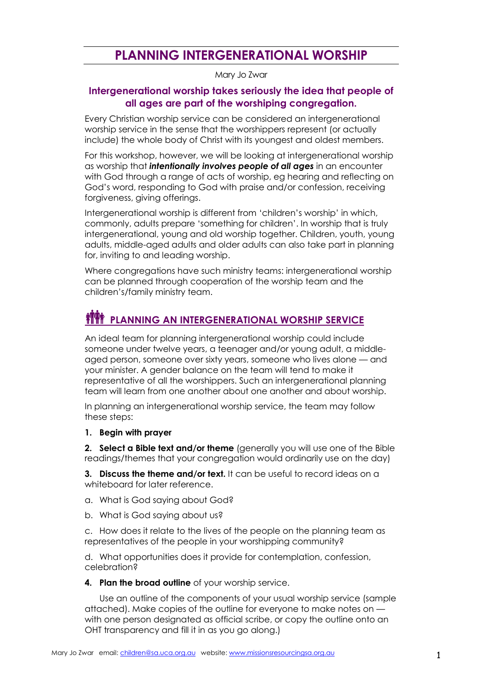# **PLANNING INTERGENERATIONAL WORSHIP**

#### Mary Jo Zwar

## **Intergenerational worship takes seriously the idea that people of all ages are part of the worshiping congregation.**

Every Christian worship service can be considered an intergenerational worship service in the sense that the worshippers represent (or actually include) the whole body of Christ with its youngest and oldest members.

For this workshop, however, we will be looking at intergenerational worship as worship that *intentionally involves people of all ages* in an encounter with God through a range of acts of worship, eg hearing and reflecting on God's word, responding to God with praise and/or confession, receiving forgiveness, giving offerings.

Intergenerational worship is different from 'children's worship' in which, commonly, adults prepare 'something for children'. In worship that is truly intergenerational, young and old worship together. Children, youth, young adults, middle-aged adults and older adults can also take part in planning for, inviting to and leading worship.

Where congregations have such ministry teams: intergenerational worship can be planned through cooperation of the worship team and the children's/family ministry team.

# **PLANNING AN INTERGENERATIONAL WORSHIP SERVICE**

An ideal team for planning intergenerational worship could include someone under twelve years, a teenager and/or young adult, a middleaged person, someone over sixty years, someone who lives alone — and your minister. A gender balance on the team will tend to make it representative of all the worshippers. Such an intergenerational planning team will learn from one another about one another and about worship.

In planning an intergenerational worship service, the team may follow these steps:

#### **1. Begin with prayer**

**2. Select a Bible text and/or theme** (generally you will use one of the Bible readings/themes that your congregation would ordinarily use on the day)

**3. Discuss the theme and/or text.** It can be useful to record ideas on a whiteboard for later reference.

- a. What is God saying about God?
- b. What is God saying about us?

c. How does it relate to the lives of the people on the planning team as representatives of the people in your worshipping community?

d. What opportunities does it provide for contemplation, confession, celebration?

#### **4. Plan the broad outline** of your worship service.

Use an outline of the components of your usual worship service (sample attached). Make copies of the outline for everyone to make notes on with one person designated as official scribe, or copy the outline onto an OHT transparency and fill it in as you go along.)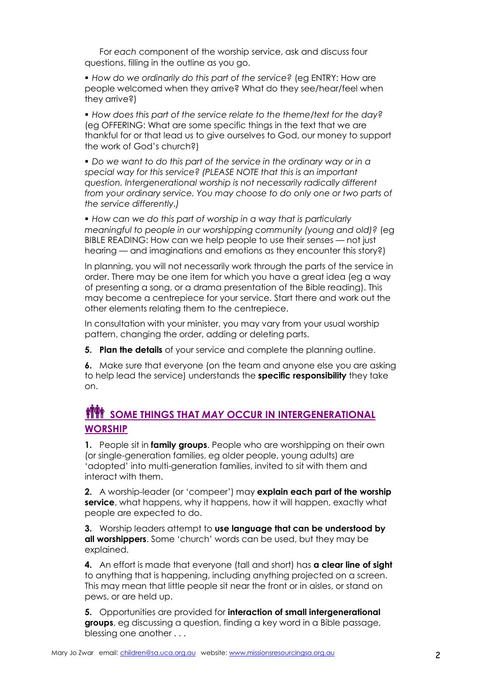For *each* component of the worship service, ask and discuss four questions, filling in the outline as you go.

 *How do we ordinarily do this part of the service?* (eg ENTRY: How are people welcomed when they arrive? What do they see/hear/feel when they arrive?)

 *How does this part of the service relate to the theme/text for the day?* (eg OFFERING: What are some specific things in the text that we are thankful for or that lead us to give ourselves to God, our money to support the work of God's church?)

 *Do we want to do this part of the service in the ordinary way or in a special way for this service? (PLEASE NOTE that this is an important question. Intergenerational worship is not necessarily radically different from your ordinary service. You may choose to do only one or two parts of the service differently.)*

 *How can we do this part of worship in a way that is particularly meaningful to people in our worshipping community (young and old)?* (eg BIBLE READING: How can we help people to use their senses — not just hearing — and imaginations and emotions as they encounter this story?)

In planning, you will not necessarily work through the parts of the service in order. There may be one item for which you have a great idea (eg a way of presenting a song, or a drama presentation of the Bible reading). This may become a centrepiece for your service. Start there and work out the other elements relating them to the centrepiece.

In consultation with your minister, you may vary from your usual worship pattern, changing the order, adding or deleting parts.

**5. Plan the details** of your service and complete the planning outline.

**6.** Make sure that everyone (on the team and anyone else you are asking to help lead the service) understands the **specific responsibility** they take on.

## **FITH SOME THINGS THAT MAY OCCUR IN INTERGENERATIONAL WORSHIP**

**1.** People sit in **family groups**. People who are worshipping on their own (or single-generation families, eg older people, young adults) are 'adopted' into multi-generation families, invited to sit with them and interact with them.

**2.** A worship-leader (or 'compeer') may **explain each part of the worship service**, what happens, why it happens, how it will happen, exactly what people are expected to do.

**3.** Worship leaders attempt to **use language that can be understood by all worshippers**. Some 'church' words can be used, but they may be explained.

**4.** An effort is made that everyone (tall and short) has **a clear line of sight** to anything that is happening, including anything projected on a screen. This may mean that little people sit near the front or in aisles, or stand on pews, or are held up.

**5.** Opportunities are provided for **interaction of small intergenerational groups**, eg discussing a question, finding a key word in a Bible passage, blessing one another . . .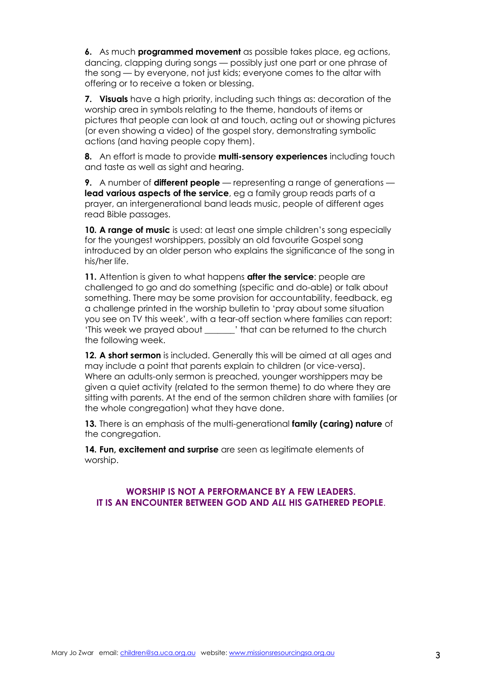**6.** As much **programmed movement** as possible takes place, eg actions, dancing, clapping during songs — possibly just one part or one phrase of the song — by everyone, not just kids; everyone comes to the altar with offering or to receive a token or blessing.

**7. Visuals** have a high priority, including such things as: decoration of the worship area in symbols relating to the theme, handouts of items or pictures that people can look at and touch, acting out or showing pictures (or even showing a video) of the gospel story, demonstrating symbolic actions (and having people copy them).

**8.** An effort is made to provide **multi-sensory experiences** including touch and taste as well as sight and hearing.

**9.** A number of **different people** — representing a range of generations **lead various aspects of the service**, eg a family group reads parts of a prayer, an intergenerational band leads music, people of different ages read Bible passages.

**10. A range of music** is used: at least one simple children's song especially for the youngest worshippers, possibly an old favourite Gospel song introduced by an older person who explains the significance of the song in his/her life.

**11.** Attention is given to what happens **after the service**: people are challenged to go and do something (specific and do-able) or talk about something. There may be some provision for accountability, feedback, eg a challenge printed in the worship bulletin to 'pray about some situation you see on TV this week', with a tear-off section where families can report: 'This week we prayed about \_\_\_\_\_\_\_' that can be returned to the church the following week.

**12. A short sermon** is included. Generally this will be aimed at all ages and may include a point that parents explain to children (or vice-versa). Where an adults-only sermon is preached, younger worshippers may be given a quiet activity (related to the sermon theme) to do where they are sitting with parents. At the end of the sermon children share with families (or the whole congregation) what they have done.

**13.** There is an emphasis of the multi-generational **family (caring) nature** of the congregation.

**14. Fun, excitement and surprise** are seen as legitimate elements of worship.

### **WORSHIP IS NOT A PERFORMANCE BY A FEW LEADERS. IT IS AN ENCOUNTER BETWEEN GOD AND** *ALL* **HIS GATHERED PEOPLE**.